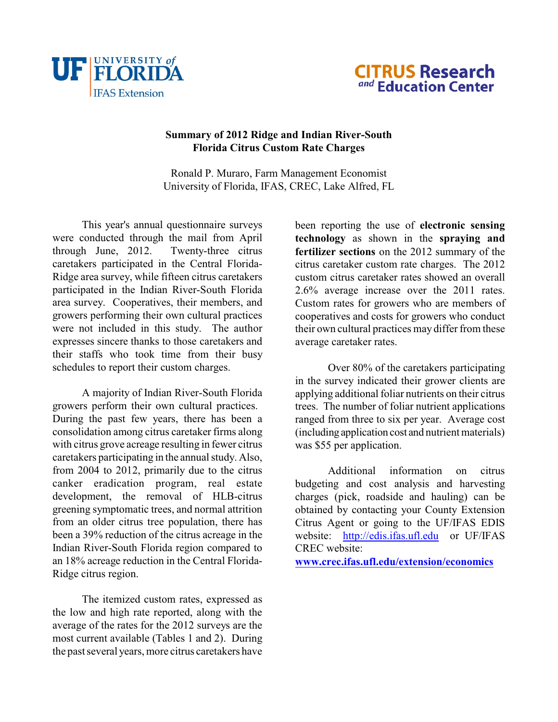



## **Summary of 2012 Ridge and Indian River-South Florida Citrus Custom Rate Charges**

Ronald P. Muraro, Farm Management Economist University of Florida, IFAS, CREC, Lake Alfred, FL

This year's annual questionnaire surveys were conducted through the mail from April through June, 2012. Twenty-three citrus caretakers participated in the Central Florida-Ridge area survey, while fifteen citrus caretakers participated in the Indian River-South Florida area survey. Cooperatives, their members, and growers performing their own cultural practices were not included in this study. The author expresses sincere thanks to those caretakers and their staffs who took time from their busy schedules to report their custom charges.

A majority of Indian River-South Florida growers perform their own cultural practices. During the past few years, there has been a consolidation among citrus caretaker firms along with citrus grove acreage resulting in fewer citrus caretakers participating in the annual study. Also, from 2004 to 2012, primarily due to the citrus canker eradication program, real estate development, the removal of HLB-citrus greening symptomatic trees, and normal attrition from an older citrus tree population, there has been a 39% reduction of the citrus acreage in the Indian River-South Florida region compared to an 18% acreage reduction in the Central Florida-Ridge citrus region.

<span id="page-0-0"></span>The itemized custom rates, expressed as the low and high rate reported, along with the average of the rates for the 2012 surveys are the most current available (Tables 1 and 2). During the past several years, more citrus caretakers have

been reporting the use of **electronic sensing technology** as shown in the **spraying and fertilizer sections** on the 2012 summary of the citrus caretaker custom rate charges. The 2012 custom citrus caretaker rates showed an overall 2.6% average increase over the 2011 rates. Custom rates for growers who are members of cooperatives and costs for growers who conduct their own cultural practices may differ from these average caretaker rates.

Over 80% of the caretakers participating in the survey indicated their grower clients are applying additional foliar nutrients on their citrus trees. The number of foliar nutrient applications ranged from three to six per year. Average cost (including application cost and nutrient materials) was \$55 per application.

Additional information on citrus budgeting and cost analysis and harvesting charges (pick, roadside and hauling) can be obtained by contacting your County Extension Citrus Agent or going to the UF/IFAS EDIS website: [http://edis.ifas.ufl.edu](#page-0-0) or UF/IFAS CREC website:

**[www.crec.ifas.ufl.edu/extension/economics](http://www.crec.ifas.ufl.edu/extension/economics)**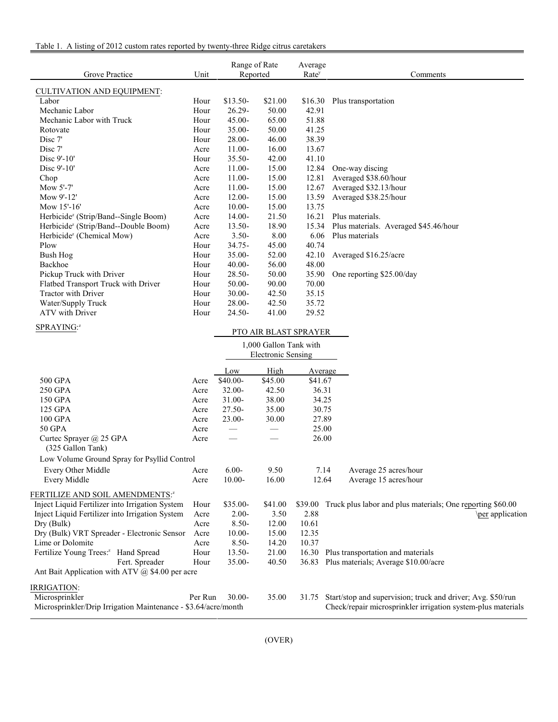| Table 1. A listing of 2012 custom rates reported by twenty-three Ridge citrus caretakers |  |  |
|------------------------------------------------------------------------------------------|--|--|
|                                                                                          |  |  |

| Grove Practice                                   | Unit | Range of Rate<br>Reported |         | Average<br>Rate <sup>y</sup> | Comments                              |
|--------------------------------------------------|------|---------------------------|---------|------------------------------|---------------------------------------|
| <b>CULTIVATION AND EQUIPMENT:</b>                |      |                           |         |                              |                                       |
| Labor                                            | Hour | $$13.50-$                 | \$21.00 | \$16.30                      | Plus transportation                   |
| Mechanic Labor                                   | Hour | $26.29 -$                 | 50.00   | 42.91                        |                                       |
| Mechanic Labor with Truck                        | Hour | $45.00 -$                 | 65.00   | 51.88                        |                                       |
| Rotovate                                         | Hour | $35.00 -$                 | 50.00   | 41.25                        |                                       |
| Disc 7'                                          | Hour | $28.00 -$                 | 46.00   | 38.39                        |                                       |
| Disc 7'                                          | Acre | $11.00-$                  | 16.00   | 13.67                        |                                       |
| Disc 9'-10'                                      | Hour | $35.50 -$                 | 42.00   | 41.10                        |                                       |
| Disc $9'$ -10'                                   | Acre | $11.00-$                  | 15.00   | 12.84                        | One-way discing                       |
| Chop                                             | Acre | $11.00 -$                 | 15.00   | 12.81                        | Averaged \$38.60/hour                 |
| Mow $5'$ -7'                                     | Acre | $11.00-$                  | 15.00   | 12.67                        | Averaged \$32.13/hour                 |
| Mow 9'-12'                                       | Acre | $12.00 -$                 | 15.00   | 13.59                        | Averaged \$38.25/hour                 |
| Mow 15'-16'                                      | Acre | $10.00 -$                 | 15.00   | 13.75                        |                                       |
| Herbicide <sup>z</sup> (Strip/Band--Single Boom) | Acre | $14.00 -$                 | 21.50   | 16.21                        | Plus materials.                       |
| Herbicide <sup>z</sup> (Strip/Band--Double Boom) | Acre | $13.50 -$                 | 18.90   | 15.34                        | Plus materials. Averaged \$45.46/hour |
| Herbicide <sup>z</sup> (Chemical Mow)            | Acre | $3.50 -$                  | 8.00    | 6.06                         | Plus materials                        |
| Plow                                             | Hour | $34.75 -$                 | 45.00   | 40.74                        |                                       |
| Bush Hog                                         | Hour | $35.00 -$                 | 52.00   | 42.10                        | Averaged \$16.25/acre                 |
| Backhoe                                          | Hour | $40.00 -$                 | 56.00   | 48.00                        |                                       |
| Pickup Truck with Driver                         | Hour | $28.50 -$                 | 50.00   | 35.90                        | One reporting \$25.00/day             |
| Flatbed Transport Truck with Driver              | Hour | $50.00 -$                 | 90.00   | 70.00                        |                                       |
| <b>Tractor with Driver</b>                       | Hour | $30.00 -$                 | 42.50   | 35.15                        |                                       |
| Water/Supply Truck                               | Hour | $28.00 -$                 | 42.50   | 35.72                        |                                       |
| ATV with Driver                                  | Hour | $24.50 -$                 | 41.00   | 29.52                        |                                       |
| SPRAYING: <sup>2</sup>                           |      |                           |         | $TTO$ and $DT$ act can aven  |                                       |

| <b>PTO AIR BLAST SPRAYER</b> |
|------------------------------|
|------------------------------|

|                                                                |         |                               | 1,000 Gallon Tank with<br><b>Electronic Sensing</b> |         |                                                              |
|----------------------------------------------------------------|---------|-------------------------------|-----------------------------------------------------|---------|--------------------------------------------------------------|
|                                                                |         | Low                           | High                                                | Average |                                                              |
| 500 GPA                                                        | Acre    | $$40.00-$                     | \$45.00                                             | \$41.67 |                                                              |
| 250 GPA                                                        | Acre    | $32.00 -$                     | 42.50                                               | 36.31   |                                                              |
| 150 GPA                                                        | Acre    | $31.00 -$                     | 38.00                                               | 34.25   |                                                              |
| 125 GPA                                                        | Acre    | $27.50 -$                     | 35.00                                               | 30.75   |                                                              |
| 100 GPA                                                        | Acre    | $23.00 -$                     | 30.00                                               | 27.89   |                                                              |
| 50 GPA                                                         | Acre    | $\overbrace{\phantom{aaaaa}}$ | $\qquad \qquad$                                     | 25.00   |                                                              |
| Curtec Sprayer @ 25 GPA<br>(325 Gallon Tank)                   | Acre    | $\overline{\phantom{0}}$      |                                                     | 26.00   |                                                              |
| Low Volume Ground Spray for Psyllid Control                    |         |                               |                                                     |         |                                                              |
| Every Other Middle                                             | Acre    | $6.00 -$                      | 9.50                                                |         | 7.14<br>Average 25 acres/hour                                |
| Every Middle                                                   | Acre    | $10.00 -$                     | 16.00                                               |         | 12.64<br>Average 15 acres/hour                               |
| FERTILIZE AND SOIL AMENDMENTS: <sup>2</sup>                    |         |                               |                                                     |         |                                                              |
| Inject Liquid Fertilizer into Irrigation System                | Hour    | \$35.00-                      | \$41.00                                             | \$39.00 | Truck plus labor and plus materials; One reporting \$60.00   |
| Inject Liquid Fertilizer into Irrigation System                | Acre    | $2.00 -$                      | 3.50                                                | 2.88    | \per application                                             |
| Dry (Bulk)                                                     | Acre    | $8.50 -$                      | 12.00                                               | 10.61   |                                                              |
| Dry (Bulk) VRT Spreader - Electronic Sensor                    | Acre    | $10.00 -$                     | 15.00                                               | 12.35   |                                                              |
| Lime or Dolomite                                               | Acre    | $8.50 -$                      | 14.20                                               | 10.37   |                                                              |
| Fertilize Young Trees: <sup>2</sup> Hand Spread                | Hour    | $13.50-$                      | 21.00                                               | 16.30   | Plus transportation and materials                            |
| Fert. Spreader                                                 | Hour    | $35.00 -$                     | 40.50                                               | 36.83   | Plus materials; Average \$10.00/acre                         |
| Ant Bait Application with ATV $(a)$ \$4.00 per acre            |         |                               |                                                     |         |                                                              |
| IRRIGATION:                                                    |         |                               |                                                     |         |                                                              |
| Microsprinkler                                                 | Per Run | $30.00 -$                     | 35.00                                               | 31.75   | Start/stop and supervision; truck and driver; Avg. \$50/run  |
| Microsprinkler/Drip Irrigation Maintenance - \$3.64/acre/month |         |                               |                                                     |         | Check/repair microsprinkler irrigation system-plus materials |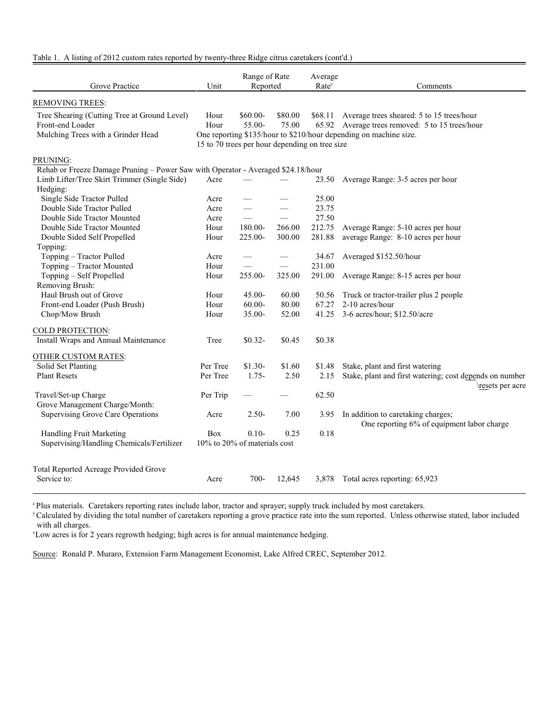## Table 1. A listing of 2012 custom rates reported by twenty-three Ridge citrus caretakers (cont'd.)

| Grove Practice                                                                                         | Unit         | Range of Rate<br>Reported                                             |                  |                  |                                                                                                                                                             | Average<br>Rate <sup>y</sup> | Comments |
|--------------------------------------------------------------------------------------------------------|--------------|-----------------------------------------------------------------------|------------------|------------------|-------------------------------------------------------------------------------------------------------------------------------------------------------------|------------------------------|----------|
| <b>REMOVING TREES:</b>                                                                                 |              |                                                                       |                  |                  |                                                                                                                                                             |                              |          |
| Tree Shearing (Cutting Tree at Ground Level)<br>Front-end Loader<br>Mulching Trees with a Grinder Head | Hour<br>Hour | $$60.00-$<br>55.00-<br>15 to 70 trees per hour depending on tree size | \$80.00<br>75.00 | \$68.11<br>65.92 | Average trees sheared: 5 to 15 trees/hour<br>Average trees removed: 5 to 15 trees/hour<br>One reporting \$135/hour to \$210/hour depending on machine size. |                              |          |
| PRUNING:                                                                                               |              |                                                                       |                  |                  |                                                                                                                                                             |                              |          |
| Rehab or Freeze Damage Pruning - Power Saw with Operator - Averaged \$24.18/hour                       |              |                                                                       |                  |                  |                                                                                                                                                             |                              |          |
| Limb Lifter/Tree Skirt Trimmer (Single Side)                                                           | Acre         |                                                                       |                  | 23.50            | Average Range: 3-5 acres per hour                                                                                                                           |                              |          |
| Hedging:                                                                                               |              |                                                                       |                  |                  |                                                                                                                                                             |                              |          |
| Single Side Tractor Pulled                                                                             | Acre         |                                                                       |                  | 25.00            |                                                                                                                                                             |                              |          |
| Double Side Tractor Pulled                                                                             | Acre         |                                                                       |                  | 23.75            |                                                                                                                                                             |                              |          |
| Double Side Tractor Mounted                                                                            | Acre         | $\equiv$                                                              |                  | 27.50            |                                                                                                                                                             |                              |          |
| Double Side Tractor Mounted                                                                            | Hour         | 180.00-                                                               | 266.00           | 212.75           | Average Range: 5-10 acres per hour                                                                                                                          |                              |          |
| Double Sided Self Propelled                                                                            | Hour         | $225.00 -$                                                            | 300.00           | 281.88           | average Range: 8-10 acres per hour                                                                                                                          |                              |          |
| Topping:                                                                                               |              |                                                                       |                  |                  |                                                                                                                                                             |                              |          |
| Topping - Tractor Pulled                                                                               | Acre         |                                                                       |                  | 34.67            | Averaged \$152.50/hour                                                                                                                                      |                              |          |
| Topping - Tractor Mounted                                                                              | Hour         | $\qquad \qquad$                                                       | $\equiv$         | 231.00           |                                                                                                                                                             |                              |          |
| Topping - Self Propelled                                                                               | Hour         | 255.00-                                                               | 325.00           | 291.00           | Average Range: 8-15 acres per hour                                                                                                                          |                              |          |
| Removing Brush:                                                                                        |              |                                                                       |                  |                  |                                                                                                                                                             |                              |          |
| Haul Brush out of Grove                                                                                | Hour         | $45.00 -$                                                             | 60.00            | 50.56            | Truck or tractor-trailer plus 2 people                                                                                                                      |                              |          |
| Front-end Loader (Push Brush)                                                                          | Hour         | $60.00 -$                                                             | 80.00            | 67.27            | 2-10 acres/hour                                                                                                                                             |                              |          |
| Chop/Mow Brush                                                                                         | Hour         | 35.00-                                                                | 52.00            | 41.25            | 3-6 acres/hour; \$12.50/acre                                                                                                                                |                              |          |
| COLD PROTECTION:                                                                                       |              |                                                                       |                  |                  |                                                                                                                                                             |                              |          |
| Install Wraps and Annual Maintenance                                                                   | Tree         | $$0.32-$                                                              | \$0.45           | \$0.38           |                                                                                                                                                             |                              |          |
|                                                                                                        |              |                                                                       |                  |                  |                                                                                                                                                             |                              |          |
| OTHER CUSTOM RATES:                                                                                    |              |                                                                       |                  |                  |                                                                                                                                                             |                              |          |
| Solid Set Planting                                                                                     | Per Tree     | $$1.30-$                                                              | \$1.60           | \$1.48           | Stake, plant and first watering                                                                                                                             |                              |          |
| <b>Plant Resets</b>                                                                                    | Per Tree     | $1.75-$                                                               | 2.50             | 2.15             | Stake, plant and first watering; cost depends on number                                                                                                     |                              |          |
|                                                                                                        |              |                                                                       |                  |                  | \resets per acre                                                                                                                                            |                              |          |
| Travel/Set-up Charge                                                                                   | Per Trip     |                                                                       |                  | 62.50            |                                                                                                                                                             |                              |          |
| Grove Management Charge/Month:                                                                         |              |                                                                       |                  |                  |                                                                                                                                                             |                              |          |
| <b>Supervising Grove Care Operations</b>                                                               | Acre         | $2.50-$                                                               | 7.00             | 3.95             | In addition to caretaking charges;                                                                                                                          |                              |          |
|                                                                                                        |              |                                                                       |                  |                  | One reporting 6% of equipment labor charge                                                                                                                  |                              |          |
| Handling Fruit Marketing                                                                               | <b>Box</b>   | $0.10-$                                                               | 0.25             | 0.18             |                                                                                                                                                             |                              |          |
| Supervising/Handling Chemicals/Fertilizer                                                              |              | 10% to 20% of materials cost                                          |                  |                  |                                                                                                                                                             |                              |          |
|                                                                                                        |              |                                                                       |                  |                  |                                                                                                                                                             |                              |          |
| Total Reported Acreage Provided Grove                                                                  |              |                                                                       |                  |                  |                                                                                                                                                             |                              |          |
| Service to:                                                                                            | Acre         | $700 -$                                                               | 12,645           | 3,878            | Total acres reporting: 65,923                                                                                                                               |                              |          |
|                                                                                                        |              |                                                                       |                  |                  |                                                                                                                                                             |                              |          |

<sup>z</sup> Plus materials. Caretakers reporting rates include labor, tractor and sprayer; supply truck included by most caretakers.

<sup>y</sup> Calculated by dividing the total number of caretakers reporting a grove practice rate into the sum reported. Unless otherwise stated, labor included with all charges.

<sup>x</sup>Low acres is for 2 years regrowth hedging; high acres is for annual maintenance hedging.

Source: Ronald P. Muraro, Extension Farm Management Economist, Lake Alfred CREC, September 2012.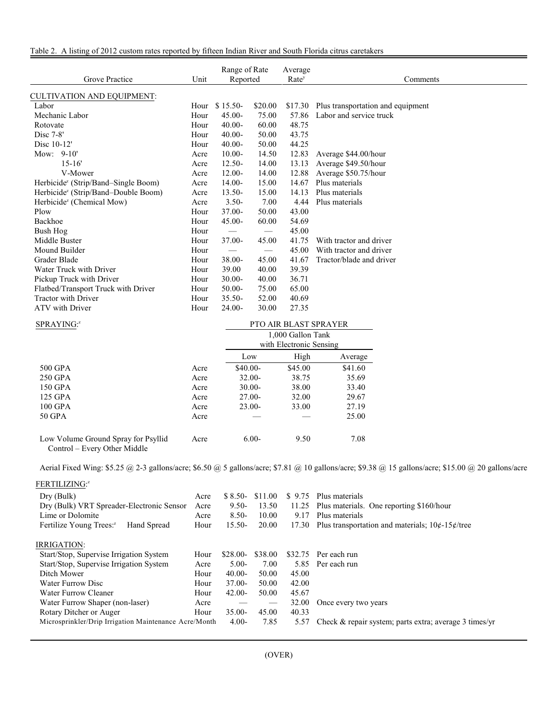Table 2. A listing of 2012 custom rates reported by fifteen Indian River and South Florida citrus caretakers

| Grove Practice                                  | Unit | Range of Rate<br>Reported     |                                 | Average<br>Rate <sup>y</sup> | Comments                                  |
|-------------------------------------------------|------|-------------------------------|---------------------------------|------------------------------|-------------------------------------------|
| <b>CULTIVATION AND EQUIPMENT:</b>               |      |                               |                                 |                              |                                           |
| Labor                                           | Hour | $$15.50-$                     | \$20.00                         |                              | \$17.30 Plus transportation and equipment |
| Mechanic Labor                                  | Hour | $45.00 -$                     | 75.00                           | 57.86                        | Labor and service truck                   |
| Rotovate                                        | Hour | $40.00 -$                     | 60.00                           | 48.75                        |                                           |
| Disc $7-8$ '                                    | Hour | $40.00 -$                     | 50.00                           | 43.75                        |                                           |
| Disc 10-12'                                     | Hour | $40.00 -$                     | 50.00                           | 44.25                        |                                           |
| Mow: 9-10'                                      | Acre | $10.00 -$                     | 14.50                           | 12.83                        | Average \$44.00/hour                      |
| $15 - 16'$                                      | Acre | $12.50 -$                     | 14.00                           | 13.13                        | Average \$49.50/hour                      |
| V-Mower                                         | Acre | $12.00 -$                     | 14.00                           | 12.88                        | Average \$50.75/hour                      |
| Herbicide <sup>z</sup> (Strip/Band–Single Boom) | Acre | $14.00 -$                     | 15.00                           | 14.67                        | Plus materials                            |
| Herbicide <sup>z</sup> (Strip/Band–Double Boom) | Acre | $13.50 -$                     | 15.00                           | 14.13                        | Plus materials                            |
| Herbicide <sup>z</sup> (Chemical Mow)           | Acre | $3.50 -$                      | 7.00                            | 4.44                         | Plus materials                            |
| Plow                                            | Hour | $37.00 -$                     | 50.00                           | 43.00                        |                                           |
| Backhoe                                         | Hour | $45.00 -$                     | 60.00                           | 54.69                        |                                           |
| Bush Hog                                        | Hour |                               | $\hspace{0.05cm}$               | 45.00                        |                                           |
| Middle Buster                                   | Hour | $37.00 -$                     | 45.00                           | 41.75                        | With tractor and driver                   |
| Mound Builder                                   | Hour | $\overbrace{\phantom{13333}}$ | $\hspace{0.1mm}-\hspace{0.1mm}$ | 45.00                        | With tractor and driver                   |
| Grader Blade                                    | Hour | $38.00 -$                     | 45.00                           | 41.67                        | Tractor/blade and driver                  |
| Water Truck with Driver                         | Hour | 39.00                         | 40.00                           | 39.39                        |                                           |
| Pickup Truck with Driver                        | Hour | $30.00 -$                     | 40.00                           | 36.71                        |                                           |
| Flatbed/Transport Truck with Driver             | Hour | $50.00 -$                     | 75.00                           | 65.00                        |                                           |
| <b>Tractor with Driver</b>                      | Hour | $35.50 -$                     | 52.00                           | 40.69                        |                                           |
| ATV with Driver                                 | Hour | $24.00 -$                     | 30.00                           | 27.35                        |                                           |

| SPRAYING: <sup>2</sup>              | <b>PTO AIR BLAST SPRAYER</b> |                         |         |         |  |  |
|-------------------------------------|------------------------------|-------------------------|---------|---------|--|--|
|                                     |                              | 1,000 Gallon Tank       |         |         |  |  |
|                                     |                              | with Electronic Sensing |         |         |  |  |
|                                     |                              | Low                     | Average |         |  |  |
| 500 GPA                             | Acre                         | $$40.00-$               | \$45.00 | \$41.60 |  |  |
| 250 GPA                             | Acre                         | $32.00-$                | 38.75   | 35.69   |  |  |
| 150 GPA                             | Acre                         | $30.00 -$               | 38.00   | 33.40   |  |  |
| 125 GPA                             | Acre                         | $27.00-$                | 32.00   | 29.67   |  |  |
| 100 GPA                             | Acre                         | $23.00-$                | 33.00   | 27.19   |  |  |
| 50 GPA                              | Acre                         |                         |         | 25.00   |  |  |
| Low Volume Ground Spray for Psyllid | Acre                         | $6.00-$                 | 9.50    | 7.08    |  |  |

Control – Every Other Middle

Aerial Fixed Wing: \$5.25 @ 2-3 gallons/acre; \$6.50 @ 5 gallons/acre; \$7.81 @ 10 gallons/acre; \$9.38 @ 15 gallons/acre; \$15.00 @ 20 gallons/acre

FERTILIZING: z

| Dry (Bulk)<br>Dry (Bulk) VRT Spreader-Electronic Sensor<br>Lime or Dolomite<br>Fertilize Young Trees: <sup>2</sup><br>Hand Spread | Acre<br>Acre<br>Acre<br>Hour | $$8.50-$<br>$9.50 -$<br>$8.50-$<br>$15.50-$ | \$11.00<br>13.50<br>10.00<br>20.00 | \$9.75<br>11.25<br>9.17 | Plus materials<br>Plus materials. One reporting \$160/hour<br>Plus materials<br>17.30 Plus transportation and materials; $10¢$ -15 $¢$ /tree |
|-----------------------------------------------------------------------------------------------------------------------------------|------------------------------|---------------------------------------------|------------------------------------|-------------------------|----------------------------------------------------------------------------------------------------------------------------------------------|
| <b>IRRIGATION:</b>                                                                                                                |                              |                                             |                                    |                         |                                                                                                                                              |
| Start/Stop, Supervise Irrigation System                                                                                           | Hour                         | $$28.00-$                                   | \$38.00                            | \$32.75                 | Per each run                                                                                                                                 |
| Start/Stop, Supervise Irrigation System                                                                                           | Acre                         | $5.00-$                                     | 7.00                               | 5.85                    | Per each run                                                                                                                                 |
| Ditch Mower                                                                                                                       | Hour                         | $40.00-$                                    | 50.00                              | 45.00                   |                                                                                                                                              |
| Water Furrow Disc                                                                                                                 | Hour                         | $37.00 -$                                   | 50.00                              | 42.00                   |                                                                                                                                              |
| Water Furrow Cleaner                                                                                                              | Hour                         | $42.00 -$                                   | 50.00                              | 45.67                   |                                                                                                                                              |
| Water Furrow Shaper (non-laser)                                                                                                   | Acre                         |                                             | $\hspace{0.05cm}$                  | 32.00                   | Once every two years                                                                                                                         |
| Rotary Ditcher or Auger                                                                                                           | Hour                         | $35.00 -$                                   | 45.00                              | 40.33                   |                                                                                                                                              |
| Microsprinkler/Drip Irrigation Maintenance Acre/Month                                                                             |                              | $4.00-$                                     | 7.85                               | 5.57                    | Check $\&$ repair system; parts extra; average 3 times/yr                                                                                    |